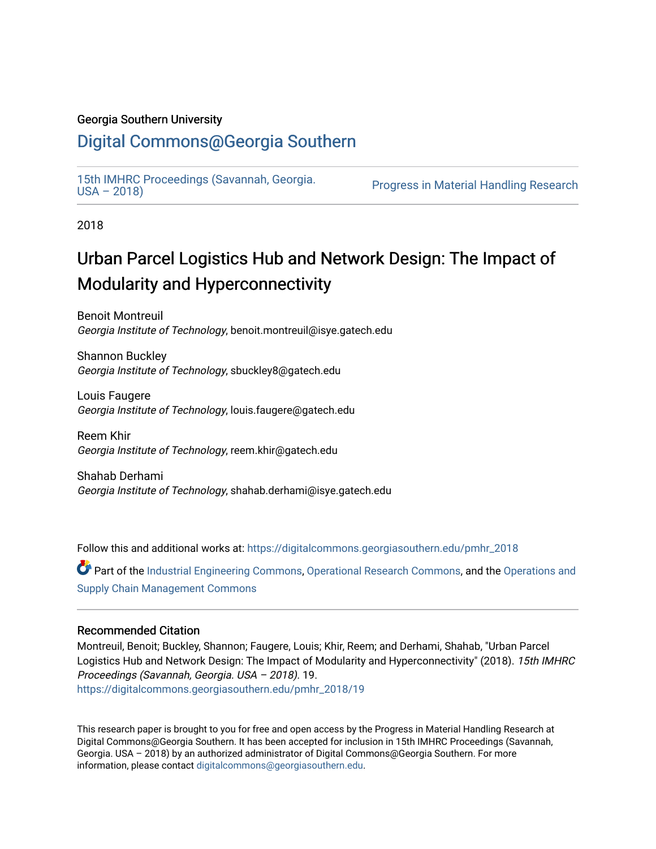#### Georgia Southern University

### [Digital Commons@Georgia Southern](https://digitalcommons.georgiasouthern.edu/)

15th IMHRC Proceedings (Savannah, Georgia.<br>USA - 2018)

Progress in Material Handling Research

2018

## Urban Parcel Logistics Hub and Network Design: The Impact of Modularity and Hyperconnectivity

Benoit Montreuil Georgia Institute of Technology, benoit.montreuil@isye.gatech.edu

Shannon Buckley Georgia Institute of Technology, sbuckley8@gatech.edu

Louis Faugere Georgia Institute of Technology, louis.faugere@gatech.edu

Reem Khir Georgia Institute of Technology, reem.khir@gatech.edu

Shahab Derhami Georgia Institute of Technology, shahab.derhami@isye.gatech.edu

Follow this and additional works at: [https://digitalcommons.georgiasouthern.edu/pmhr\\_2018](https://digitalcommons.georgiasouthern.edu/pmhr_2018?utm_source=digitalcommons.georgiasouthern.edu%2Fpmhr_2018%2F19&utm_medium=PDF&utm_campaign=PDFCoverPages)

Part of the [Industrial Engineering Commons](http://network.bepress.com/hgg/discipline/307?utm_source=digitalcommons.georgiasouthern.edu%2Fpmhr_2018%2F19&utm_medium=PDF&utm_campaign=PDFCoverPages), [Operational Research Commons](http://network.bepress.com/hgg/discipline/308?utm_source=digitalcommons.georgiasouthern.edu%2Fpmhr_2018%2F19&utm_medium=PDF&utm_campaign=PDFCoverPages), and the [Operations and](http://network.bepress.com/hgg/discipline/1229?utm_source=digitalcommons.georgiasouthern.edu%2Fpmhr_2018%2F19&utm_medium=PDF&utm_campaign=PDFCoverPages)  [Supply Chain Management Commons](http://network.bepress.com/hgg/discipline/1229?utm_source=digitalcommons.georgiasouthern.edu%2Fpmhr_2018%2F19&utm_medium=PDF&utm_campaign=PDFCoverPages) 

#### Recommended Citation

Montreuil, Benoit; Buckley, Shannon; Faugere, Louis; Khir, Reem; and Derhami, Shahab, "Urban Parcel Logistics Hub and Network Design: The Impact of Modularity and Hyperconnectivity" (2018). 15th IMHRC Proceedings (Savannah, Georgia. USA – 2018). 19. [https://digitalcommons.georgiasouthern.edu/pmhr\\_2018/19](https://digitalcommons.georgiasouthern.edu/pmhr_2018/19?utm_source=digitalcommons.georgiasouthern.edu%2Fpmhr_2018%2F19&utm_medium=PDF&utm_campaign=PDFCoverPages) 

This research paper is brought to you for free and open access by the Progress in Material Handling Research at Digital Commons@Georgia Southern. It has been accepted for inclusion in 15th IMHRC Proceedings (Savannah, Georgia. USA – 2018) by an authorized administrator of Digital Commons@Georgia Southern. For more information, please contact [digitalcommons@georgiasouthern.edu](mailto:digitalcommons@georgiasouthern.edu).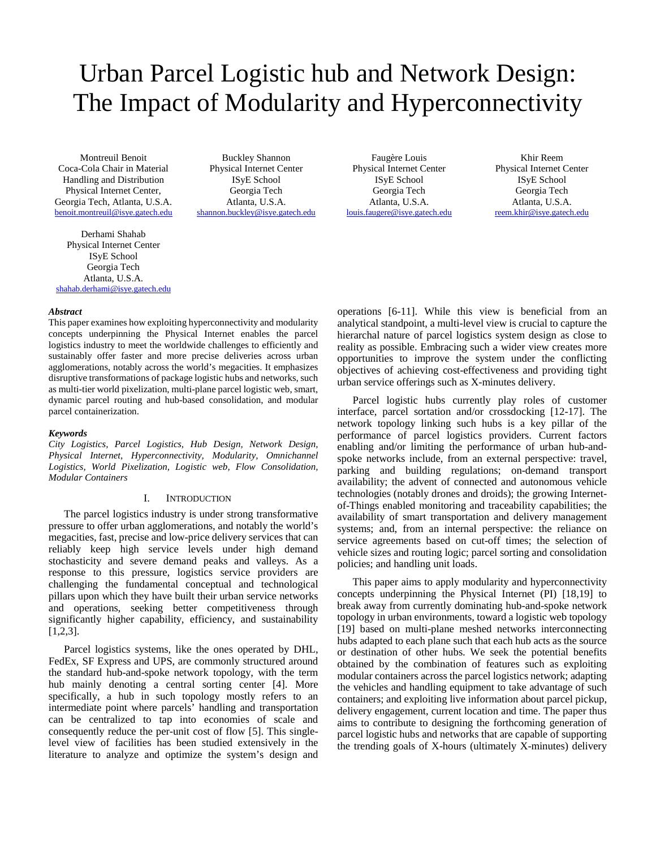# Urban Parcel Logistic hub and Network Design: The Impact of Modularity and Hyperconnectivity

Montreuil Benoit Coca-Cola Chair in Material Handling and Distribution Physical Internet Center, Georgia Tech*,* Atlanta, U.S.A. [benoit.montreuil@isye.gatech.edu](mailto:benoit.montreuil@isye.gatech.edu)

Derhami Shahab Physical Internet Center ISyE School Georgia Tech Atlanta, U.S.A. [shahab.derhami@isye.gatech.edu](mailto:shahab.derhami@isye.gatech.edu)

Buckley Shannon Physical Internet Center ISyE School Georgia Tech Atlanta, U.S.A. [shannon.buckley@isye.gatech.edu](mailto:shannon.buckley@isye.gatech.edu)

Faugère Louis Physical Internet Center ISyE School Georgia Tech Atlanta, U.S.A. [louis.faugere@isye.gatech.edu](mailto:louis.faugere@isye.gatech.edu)

Khir Reem Physical Internet Center ISyE School Georgia Tech Atlanta, U.S.A. [reem.khir@isye.gatech.edu](mailto:reem.khir@isye.gatech.edu)

#### *Abstract*

This paper examines how exploiting hyperconnectivity and modularity concepts underpinning the Physical Internet enables the parcel logistics industry to meet the worldwide challenges to efficiently and sustainably offer faster and more precise deliveries across urban agglomerations, notably across the world's megacities. It emphasizes disruptive transformations of package logistic hubs and networks, such as multi-tier world pixelization, multi-plane parcel logistic web, smart, dynamic parcel routing and hub-based consolidation, and modular parcel containerization.

#### *Keywords*

*City Logistics, Parcel Logistics, Hub Design, Network Design, Physical Internet, Hyperconnectivity, Modularity, Omnichannel Logistics, World Pixelization, Logistic web, Flow Consolidation, Modular Containers*

#### I. INTRODUCTION

The parcel logistics industry is under strong transformative pressure to offer urban agglomerations, and notably the world's megacities, fast, precise and low-price delivery services that can reliably keep high service levels under high demand stochasticity and severe demand peaks and valleys. As a response to this pressure, logistics service providers are challenging the fundamental conceptual and technological pillars upon which they have built their urban service networks and operations, seeking better competitiveness through significantly higher capability, efficiency, and sustainability [1,2,3].

Parcel logistics systems, like the ones operated by DHL, FedEx, SF Express and UPS, are commonly structured around the standard hub-and-spoke network topology, with the term hub mainly denoting a central sorting center [4]. More specifically, a hub in such topology mostly refers to an intermediate point where parcels' handling and transportation can be centralized to tap into economies of scale and consequently reduce the per-unit cost of flow [5]. This singlelevel view of facilities has been studied extensively in the literature to analyze and optimize the system's design and

operations [6-11]. While this view is beneficial from an analytical standpoint, a multi-level view is crucial to capture the hierarchal nature of parcel logistics system design as close to reality as possible. Embracing such a wider view creates more opportunities to improve the system under the conflicting objectives of achieving cost-effectiveness and providing tight urban service offerings such as X-minutes delivery.

Parcel logistic hubs currently play roles of customer interface, parcel sortation and/or crossdocking [12-17]. The network topology linking such hubs is a key pillar of the performance of parcel logistics providers. Current factors enabling and/or limiting the performance of urban hub-andspoke networks include, from an external perspective: travel, parking and building regulations; on-demand transport availability; the advent of connected and autonomous vehicle technologies (notably drones and droids); the growing Internetof-Things enabled monitoring and traceability capabilities; the availability of smart transportation and delivery management systems; and, from an internal perspective: the reliance on service agreements based on cut-off times; the selection of vehicle sizes and routing logic; parcel sorting and consolidation policies; and handling unit loads.

This paper aims to apply modularity and hyperconnectivity concepts underpinning the Physical Internet (PI) [18,19] to break away from currently dominating hub-and-spoke network topology in urban environments, toward a logistic web topology [19] based on multi-plane meshed networks interconnecting hubs adapted to each plane such that each hub acts as the source or destination of other hubs. We seek the potential benefits obtained by the combination of features such as exploiting modular containers across the parcel logistics network; adapting the vehicles and handling equipment to take advantage of such containers; and exploiting live information about parcel pickup, delivery engagement, current location and time. The paper thus aims to contribute to designing the forthcoming generation of parcel logistic hubs and networks that are capable of supporting the trending goals of X-hours (ultimately X-minutes) delivery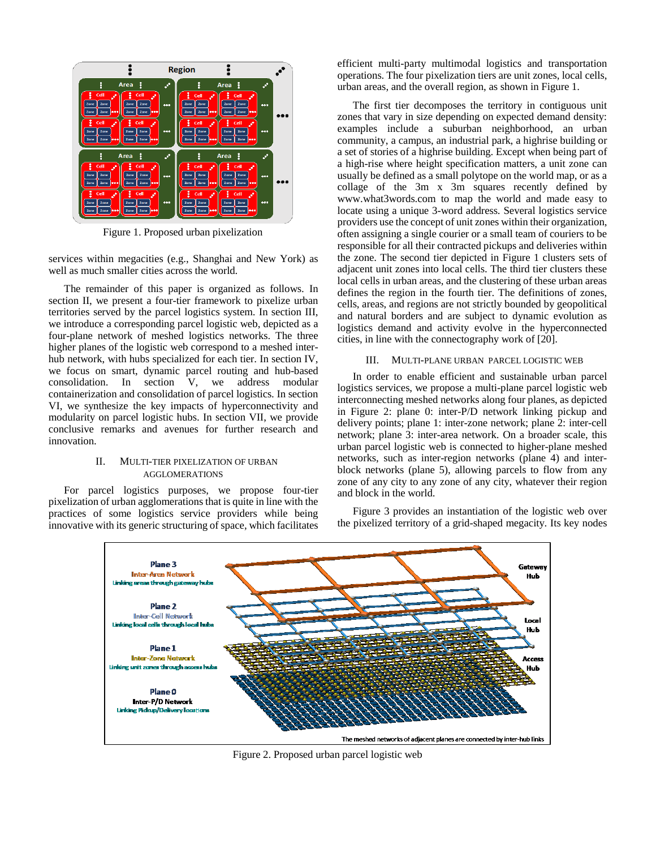

Figure 1. Proposed urban pixelization

services within megacities (e.g., Shanghai and New York) as well as much smaller cities across the world.

The remainder of this paper is organized as follows. In section II, we present a four-tier framework to pixelize urban territories served by the parcel logistics system. In section III, we introduce a corresponding parcel logistic web, depicted as a four-plane network of meshed logistics networks. The three higher planes of the logistic web correspond to a meshed interhub network, with hubs specialized for each tier. In section IV, we focus on smart, dynamic parcel routing and hub-based consolidation. In section V, we address modular containerization and consolidation of parcel logistics. In section VI, we synthesize the key impacts of hyperconnectivity and modularity on parcel logistic hubs. In section VII, we provide conclusive remarks and avenues for further research and innovation.

#### II. MULTI-TIER PIXELIZATION OF URBAN AGGLOMERATIONS

For parcel logistics purposes, we propose four-tier pixelization of urban agglomerations that is quite in line with the practices of some logistics service providers while being innovative with its generic structuring of space, which facilitates

efficient multi-party multimodal logistics and transportation operations. The four pixelization tiers are unit zones, local cells, urban areas, and the overall region, as shown in Figure 1.

The first tier decomposes the territory in contiguous unit zones that vary in size depending on expected demand density: examples include a suburban neighborhood, an urban community, a campus, an industrial park, a highrise building or a set of stories of a highrise building. Except when being part of a high-rise where height specification matters, a unit zone can usually be defined as a small polytope on the world map, or as a collage of the 3m x 3m squares recently defined by www.what3words.com to map the world and made easy to locate using a unique 3-word address. Several logistics service providers use the concept of unit zones within their organization, often assigning a single courier or a small team of couriers to be responsible for all their contracted pickups and deliveries within the zone. The second tier depicted in Figure 1 clusters sets of adjacent unit zones into local cells. The third tier clusters these local cells in urban areas, and the clustering of these urban areas defines the region in the fourth tier. The definitions of zones, cells, areas, and regions are not strictly bounded by geopolitical and natural borders and are subject to dynamic evolution as logistics demand and activity evolve in the hyperconnected cities, in line with the connectography work of [20].

#### III. MULTI-PLANE URBAN PARCEL LOGISTIC WEB

In order to enable efficient and sustainable urban parcel logistics services, we propose a multi-plane parcel logistic web interconnecting meshed networks along four planes, as depicted in Figure 2: plane 0: inter-P/D network linking pickup and delivery points; plane 1: inter-zone network; plane 2: inter-cell network; plane 3: inter-area network. On a broader scale, this urban parcel logistic web is connected to higher-plane meshed networks, such as inter-region networks (plane 4) and interblock networks (plane 5), allowing parcels to flow from any zone of any city to any zone of any city, whatever their region and block in the world.

Figure 3 provides an instantiation of the logistic web over the pixelized territory of a grid-shaped megacity. Its key nodes



Figure 2. Proposed urban parcel logistic web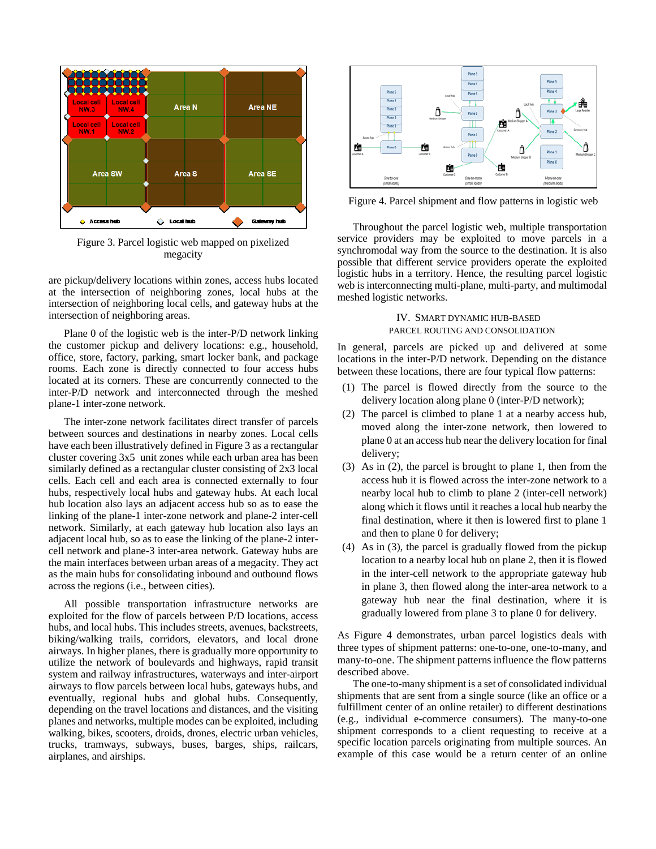

Figure 3. Parcel logistic web mapped on pixelized megacity

are pickup/delivery locations within zones, access hubs located at the intersection of neighboring zones, local hubs at the intersection of neighboring local cells, and gateway hubs at the intersection of neighboring areas.

Plane 0 of the logistic web is the inter-P/D network linking the customer pickup and delivery locations: e.g., household, office, store, factory, parking, smart locker bank, and package rooms. Each zone is directly connected to four access hubs located at its corners. These are concurrently connected to the inter-P/D network and interconnected through the meshed plane-1 inter-zone network.

The inter-zone network facilitates direct transfer of parcels between sources and destinations in nearby zones. Local cells have each been illustratively defined in Figure 3 as a rectangular cluster covering 3x5 unit zones while each urban area has been similarly defined as a rectangular cluster consisting of 2x3 local cells. Each cell and each area is connected externally to four hubs, respectively local hubs and gateway hubs. At each local hub location also lays an adjacent access hub so as to ease the linking of the plane-1 inter-zone network and plane-2 inter-cell network. Similarly, at each gateway hub location also lays an adjacent local hub, so as to ease the linking of the plane-2 intercell network and plane-3 inter-area network. Gateway hubs are the main interfaces between urban areas of a megacity. They act as the main hubs for consolidating inbound and outbound flows across the regions (i.e., between cities).

All possible transportation infrastructure networks are exploited for the flow of parcels between P/D locations, access hubs, and local hubs. This includes streets, avenues, backstreets, biking/walking trails, corridors, elevators, and local drone airways. In higher planes, there is gradually more opportunity to utilize the network of boulevards and highways, rapid transit system and railway infrastructures, waterways and inter-airport airways to flow parcels between local hubs, gateways hubs, and eventually, regional hubs and global hubs. Consequently, depending on the travel locations and distances, and the visiting planes and networks, multiple modes can be exploited, including walking, bikes, scooters, droids, drones, electric urban vehicles, trucks, tramways, subways, buses, barges, ships, railcars, airplanes, and airships.



Figure 4. Parcel shipment and flow patterns in logistic web

Throughout the parcel logistic web, multiple transportation service providers may be exploited to move parcels in a synchromodal way from the source to the destination. It is also possible that different service providers operate the exploited logistic hubs in a territory. Hence, the resulting parcel logistic web is interconnecting multi-plane, multi-party, and multimodal meshed logistic networks.

> IV. SMART DYNAMIC HUB-BASED PARCEL ROUTING AND CONSOLIDATION

In general, parcels are picked up and delivered at some locations in the inter-P/D network. Depending on the distance between these locations, there are four typical flow patterns:

- (1) The parcel is flowed directly from the source to the delivery location along plane 0 (inter-P/D network);
- (2) The parcel is climbed to plane 1 at a nearby access hub, moved along the inter-zone network, then lowered to plane 0 at an access hub near the delivery location for final delivery;
- (3) As in (2), the parcel is brought to plane 1, then from the access hub it is flowed across the inter-zone network to a nearby local hub to climb to plane 2 (inter-cell network) along which it flows until it reaches a local hub nearby the final destination, where it then is lowered first to plane 1 and then to plane 0 for delivery;
- (4) As in (3), the parcel is gradually flowed from the pickup location to a nearby local hub on plane 2, then it is flowed in the inter-cell network to the appropriate gateway hub in plane 3, then flowed along the inter-area network to a gateway hub near the final destination, where it is gradually lowered from plane 3 to plane 0 for delivery.

As Figure 4 demonstrates, urban parcel logistics deals with three types of shipment patterns: one-to-one, one-to-many, and many-to-one. The shipment patterns influence the flow patterns described above.

The one-to-many shipment is a set of consolidated individual shipments that are sent from a single source (like an office or a fulfillment center of an online retailer) to different destinations (e.g., individual e-commerce consumers). The many-to-one shipment corresponds to a client requesting to receive at a specific location parcels originating from multiple sources. An example of this case would be a return center of an online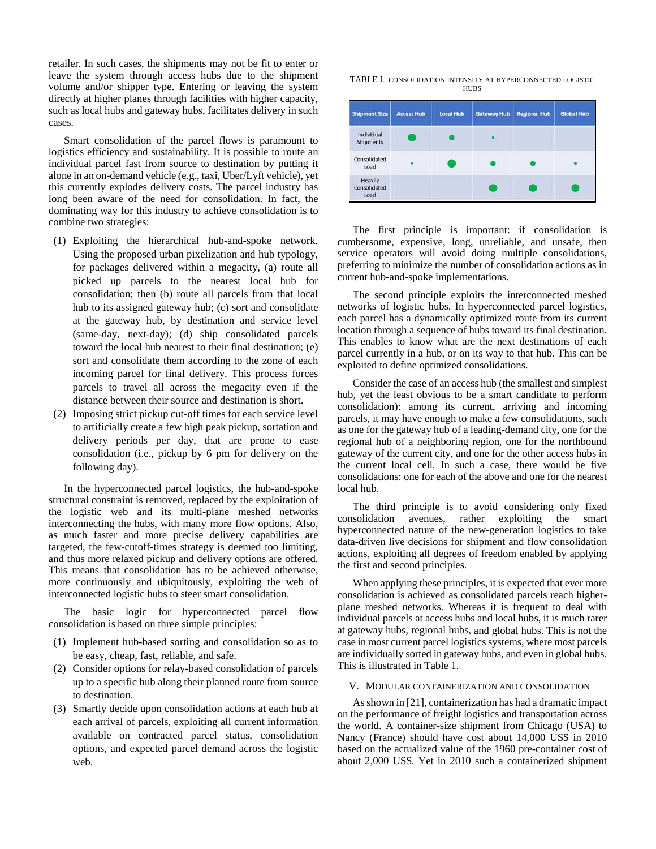retailer. In such cases, the shipments may not be fit to enter or leave the system through access hubs due to the shipment volume and/or shipper type. Entering or leaving the system directly at higher planes through facilities with higher capacity, such as local hubs and gateway hubs, facilitates delivery in such cases.

Smart consolidation of the parcel flows is paramount to logistics efficiency and sustainability. It is possible to route an individual parcel fast from source to destination by putting it alone in an on-demand vehicle (e.g., taxi, Uber/Lyft vehicle), yet this currently explodes delivery costs. The parcel industry has long been aware of the need for consolidation. In fact, the dominating way for this industry to achieve consolidation is to combine two strategies:

- (1) Exploiting the hierarchical hub-and-spoke network. Using the proposed urban pixelization and hub typology, for packages delivered within a megacity, (a) route all picked up parcels to the nearest local hub for consolidation; then (b) route all parcels from that local hub to its assigned gateway hub; (c) sort and consolidate at the gateway hub, by destination and service level (same-day, next-day); (d) ship consolidated parcels toward the local hub nearest to their final destination; (e) sort and consolidate them according to the zone of each incoming parcel for final delivery. This process forces parcels to travel all across the megacity even if the distance between their source and destination is short.
- (2) Imposing strict pickup cut-off times for each service level to artificially create a few high peak pickup, sortation and delivery periods per day, that are prone to ease consolidation (i.e., pickup by 6 pm for delivery on the following day).

In the hyperconnected parcel logistics, the hub-and-spoke structural constraint is removed, replaced by the exploitation of the logistic web and its multi-plane meshed networks interconnecting the hubs, with many more flow options. Also, as much faster and more precise delivery capabilities are targeted, the few-cutoff-times strategy is deemed too limiting, and thus more relaxed pickup and delivery options are offered. This means that consolidation has to be achieved otherwise, more continuously and ubiquitously, exploiting the web of interconnected logistic hubs to steer smart consolidation.

The basic logic for hyperconnected parcel flow consolidation is based on three simple principles:

- (1) Implement hub-based sorting and consolidation so as to be easy, cheap, fast, reliable, and safe.
- (2) Consider options for relay-based consolidation of parcels up to a specific hub along their planned route from source to destination.
- (3) Smartly decide upon consolidation actions at each hub at each arrival of parcels, exploiting all current information available on contracted parcel status, consolidation options, and expected parcel demand across the logistic web.

TABLE I. CONSOLIDATION INTENSITY AT HYPERCONNECTED LOGISTIC **HUBS** 

| <b>Shipment Size</b>            | <b>Access Hub</b> | <b>Local Hub</b> | <b>Gateway Hub</b> | <b>Regional Hub</b> | <b>Global Hub</b> |
|---------------------------------|-------------------|------------------|--------------------|---------------------|-------------------|
| Individual<br><b>Shipments</b>  |                   |                  |                    |                     |                   |
| Consolidated<br>Load            |                   |                  |                    |                     |                   |
| Heavily<br>Consolidated<br>Load |                   |                  |                    |                     |                   |

The first principle is important: if consolidation is cumbersome, expensive, long, unreliable, and unsafe, then service operators will avoid doing multiple consolidations, preferring to minimize the number of consolidation actions as in current hub-and-spoke implementations.

The second principle exploits the interconnected meshed networks of logistic hubs. In hyperconnected parcel logistics, each parcel has a dynamically optimized route from its current location through a sequence of hubs toward its final destination. This enables to know what are the next destinations of each parcel currently in a hub, or on its way to that hub. This can be exploited to define optimized consolidations.

Consider the case of an access hub (the smallest and simplest hub, yet the least obvious to be a smart candidate to perform consolidation): among its current, arriving and incoming parcels, it may have enough to make a few consolidations, such as one for the gateway hub of a leading-demand city, one for the regional hub of a neighboring region, one for the northbound gateway of the current city, and one for the other access hubs in the current local cell. In such a case, there would be five consolidations: one for each of the above and one for the nearest local hub.

The third principle is to avoid considering only fixed consolidation avenues, rather exploiting the smart hyperconnected nature of the new-generation logistics to take data-driven live decisions for shipment and flow consolidation actions, exploiting all degrees of freedom enabled by applying the first and second principles.

When applying these principles, it is expected that ever more consolidation is achieved as consolidated parcels reach higherplane meshed networks. Whereas it is frequent to deal with individual parcels at access hubs and local hubs, it is much rarer at gateway hubs, regional hubs, and global hubs. This is not the case in most current parcel logistics systems, where most parcels are individually sorted in gateway hubs, and even in global hubs. This is illustrated in Table 1.

#### V. MODULAR CONTAINERIZATION AND CONSOLIDATION

As shown in [21], containerization has had a dramatic impact on the performance of freight logistics and transportation across the world. A container-size shipment from Chicago (USA) to Nancy (France) should have cost about 14,000 US\$ in 2010 based on the actualized value of the 1960 pre-container cost of about 2,000 US\$. Yet in 2010 such a containerized shipment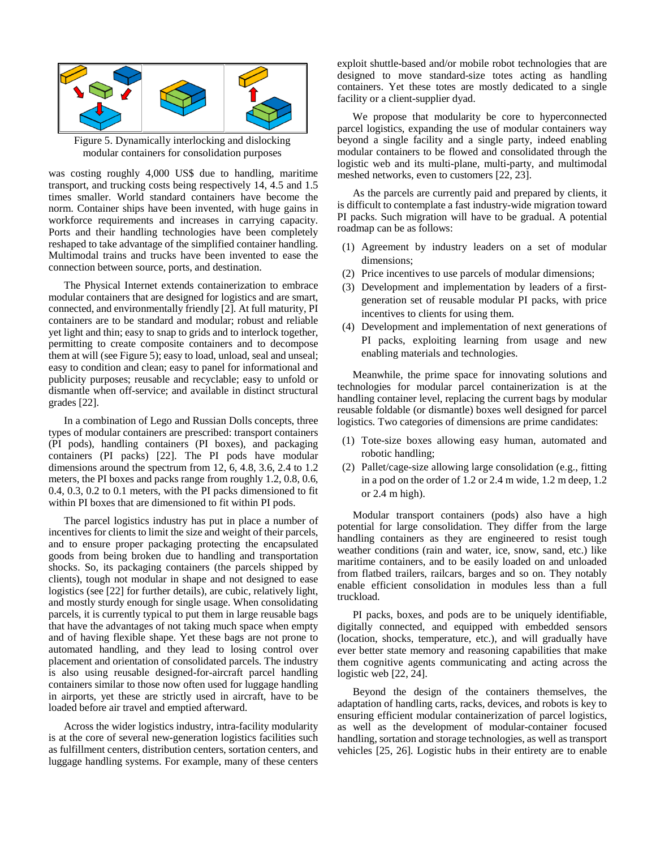

Figure 5. Dynamically interlocking and dislocking modular containers for consolidation purposes

was costing roughly 4,000 US\$ due to handling, maritime transport, and trucking costs being respectively 14, 4.5 and 1.5 times smaller. World standard containers have become the norm. Container ships have been invented, with huge gains in workforce requirements and increases in carrying capacity. Ports and their handling technologies have been completely reshaped to take advantage of the simplified container handling. Multimodal trains and trucks have been invented to ease the connection between source, ports, and destination.

The Physical Internet extends containerization to embrace modular containers that are designed for logistics and are smart, connected, and environmentally friendly [2]. At full maturity, PI containers are to be standard and modular; robust and reliable yet light and thin; easy to snap to grids and to interlock together, permitting to create composite containers and to decompose them at will (see Figure 5); easy to load, unload, seal and unseal; easy to condition and clean; easy to panel for informational and publicity purposes; reusable and recyclable; easy to unfold or dismantle when off-service; and available in distinct structural grades [22].

In a combination of Lego and Russian Dolls concepts, three types of modular containers are prescribed: transport containers (PI pods), handling containers (PI boxes), and packaging containers (PI packs) [22]. The PI pods have modular dimensions around the spectrum from 12, 6, 4.8, 3.6, 2.4 to 1.2 meters, the PI boxes and packs range from roughly 1.2, 0.8, 0.6, 0.4, 0.3, 0.2 to 0.1 meters, with the PI packs dimensioned to fit within PI boxes that are dimensioned to fit within PI pods.

The parcel logistics industry has put in place a number of incentives for clients to limit the size and weight of their parcels, and to ensure proper packaging protecting the encapsulated goods from being broken due to handling and transportation shocks. So, its packaging containers (the parcels shipped by clients), tough not modular in shape and not designed to ease logistics (see [22] for further details), are cubic, relatively light, and mostly sturdy enough for single usage. When consolidating parcels, it is currently typical to put them in large reusable bags that have the advantages of not taking much space when empty and of having flexible shape. Yet these bags are not prone to automated handling, and they lead to losing control over placement and orientation of consolidated parcels. The industry is also using reusable designed-for-aircraft parcel handling containers similar to those now often used for luggage handling in airports, yet these are strictly used in aircraft, have to be loaded before air travel and emptied afterward.

Across the wider logistics industry, intra-facility modularity is at the core of several new-generation logistics facilities such as fulfillment centers, distribution centers, sortation centers, and luggage handling systems. For example, many of these centers exploit shuttle-based and/or mobile robot technologies that are designed to move standard-size totes acting as handling containers. Yet these totes are mostly dedicated to a single facility or a client-supplier dyad.

We propose that modularity be core to hyperconnected parcel logistics, expanding the use of modular containers way beyond a single facility and a single party, indeed enabling modular containers to be flowed and consolidated through the logistic web and its multi-plane, multi-party, and multimodal meshed networks, even to customers [22, 23].

As the parcels are currently paid and prepared by clients, it is difficult to contemplate a fast industry-wide migration toward PI packs. Such migration will have to be gradual. A potential roadmap can be as follows:

- (1) Agreement by industry leaders on a set of modular dimensions;
- (2) Price incentives to use parcels of modular dimensions;
- (3) Development and implementation by leaders of a firstgeneration set of reusable modular PI packs, with price incentives to clients for using them.
- (4) Development and implementation of next generations of PI packs, exploiting learning from usage and new enabling materials and technologies.

Meanwhile, the prime space for innovating solutions and technologies for modular parcel containerization is at the handling container level, replacing the current bags by modular reusable foldable (or dismantle) boxes well designed for parcel logistics. Two categories of dimensions are prime candidates:

- (1) Tote-size boxes allowing easy human, automated and robotic handling;
- (2) Pallet/cage-size allowing large consolidation (e.g., fitting in a pod on the order of 1.2 or 2.4 m wide, 1.2 m deep, 1.2 or 2.4 m high).

Modular transport containers (pods) also have a high potential for large consolidation. They differ from the large handling containers as they are engineered to resist tough weather conditions (rain and water, ice, snow, sand, etc.) like maritime containers, and to be easily loaded on and unloaded from flatbed trailers, railcars, barges and so on. They notably enable efficient consolidation in modules less than a full truckload.

PI packs, boxes, and pods are to be uniquely identifiable, digitally connected, and equipped with embedded sensors (location, shocks, temperature, etc.), and will gradually have ever better state memory and reasoning capabilities that make them cognitive agents communicating and acting across the logistic web [22, 24].

Beyond the design of the containers themselves, the adaptation of handling carts, racks, devices, and robots is key to ensuring efficient modular containerization of parcel logistics, as well as the development of modular-container focused handling, sortation and storage technologies, as well as transport vehicles [25, 26]. Logistic hubs in their entirety are to enable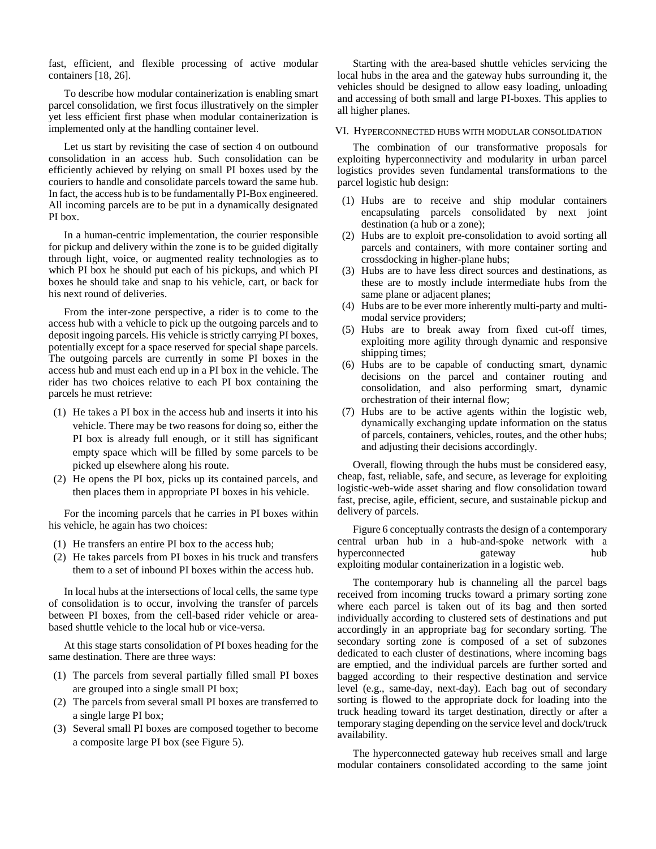fast, efficient, and flexible processing of active modular containers [18, 26].

To describe how modular containerization is enabling smart parcel consolidation, we first focus illustratively on the simpler yet less efficient first phase when modular containerization is implemented only at the handling container level.

Let us start by revisiting the case of section 4 on outbound consolidation in an access hub. Such consolidation can be efficiently achieved by relying on small PI boxes used by the couriers to handle and consolidate parcels toward the same hub. In fact, the access hub is to be fundamentally PI-Box engineered. All incoming parcels are to be put in a dynamically designated PI box.

In a human-centric implementation, the courier responsible for pickup and delivery within the zone is to be guided digitally through light, voice, or augmented reality technologies as to which PI box he should put each of his pickups, and which PI boxes he should take and snap to his vehicle, cart, or back for his next round of deliveries.

From the inter-zone perspective, a rider is to come to the access hub with a vehicle to pick up the outgoing parcels and to deposit ingoing parcels. His vehicle is strictly carrying PI boxes, potentially except for a space reserved for special shape parcels. The outgoing parcels are currently in some PI boxes in the access hub and must each end up in a PI box in the vehicle. The rider has two choices relative to each PI box containing the parcels he must retrieve:

- (1) He takes a PI box in the access hub and inserts it into his vehicle. There may be two reasons for doing so, either the PI box is already full enough, or it still has significant empty space which will be filled by some parcels to be picked up elsewhere along his route.
- (2) He opens the PI box, picks up its contained parcels, and then places them in appropriate PI boxes in his vehicle.

For the incoming parcels that he carries in PI boxes within his vehicle, he again has two choices:

- (1) He transfers an entire PI box to the access hub;
- (2) He takes parcels from PI boxes in his truck and transfers them to a set of inbound PI boxes within the access hub.

In local hubs at the intersections of local cells, the same type of consolidation is to occur, involving the transfer of parcels between PI boxes, from the cell-based rider vehicle or areabased shuttle vehicle to the local hub or vice-versa.

At this stage starts consolidation of PI boxes heading for the same destination. There are three ways:

- (1) The parcels from several partially filled small PI boxes are grouped into a single small PI box;
- (2) The parcels from several small PI boxes are transferred to a single large PI box;
- (3) Several small PI boxes are composed together to become a composite large PI box (see Figure 5).

Starting with the area-based shuttle vehicles servicing the local hubs in the area and the gateway hubs surrounding it, the vehicles should be designed to allow easy loading, unloading and accessing of both small and large PI-boxes. This applies to all higher planes.

#### VI. HYPERCONNECTED HUBS WITH MODULAR CONSOLIDATION

The combination of our transformative proposals for exploiting hyperconnectivity and modularity in urban parcel logistics provides seven fundamental transformations to the parcel logistic hub design:

- (1) Hubs are to receive and ship modular containers encapsulating parcels consolidated by next joint destination (a hub or a zone);
- (2) Hubs are to exploit pre-consolidation to avoid sorting all parcels and containers, with more container sorting and crossdocking in higher-plane hubs;
- (3) Hubs are to have less direct sources and destinations, as these are to mostly include intermediate hubs from the same plane or adjacent planes;
- (4) Hubs are to be ever more inherently multi-party and multimodal service providers;
- (5) Hubs are to break away from fixed cut-off times, exploiting more agility through dynamic and responsive shipping times;
- (6) Hubs are to be capable of conducting smart, dynamic decisions on the parcel and container routing and consolidation, and also performing smart, dynamic orchestration of their internal flow;
- (7) Hubs are to be active agents within the logistic web, dynamically exchanging update information on the status of parcels, containers, vehicles, routes, and the other hubs; and adjusting their decisions accordingly.

Overall, flowing through the hubs must be considered easy, cheap, fast, reliable, safe, and secure, as leverage for exploiting logistic-web-wide asset sharing and flow consolidation toward fast, precise, agile, efficient, secure, and sustainable pickup and delivery of parcels.

Figure 6 conceptually contrasts the design of a contemporary central urban hub in a hub-and-spoke network with a hyperconnected gateway hub exploiting modular containerization in a logistic web.

The contemporary hub is channeling all the parcel bags received from incoming trucks toward a primary sorting zone where each parcel is taken out of its bag and then sorted individually according to clustered sets of destinations and put accordingly in an appropriate bag for secondary sorting. The secondary sorting zone is composed of a set of subzones dedicated to each cluster of destinations, where incoming bags are emptied, and the individual parcels are further sorted and bagged according to their respective destination and service level (e.g., same-day, next-day). Each bag out of secondary sorting is flowed to the appropriate dock for loading into the truck heading toward its target destination, directly or after a temporary staging depending on the service level and dock/truck availability.

The hyperconnected gateway hub receives small and large modular containers consolidated according to the same joint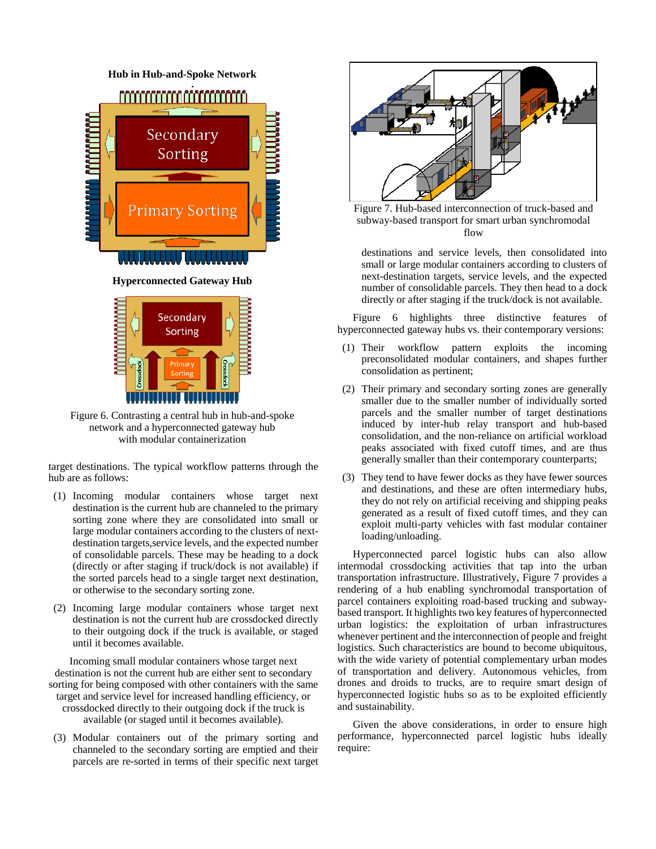



Figure 6. Contrasting a central hub in hub-and-spoke network and a hyperconnected gateway hub with modular containerization

target destinations. The typical workflow patterns through the hub are as follows:

- (1) Incoming modular containers whose target next destination is the current hub are channeled to the primary sorting zone where they are consolidated into small or large modular containers according to the clusters of nextdestination targets,service levels, and the expected number of consolidable parcels. These may be heading to a dock (directly or after staging if truck/dock is not available) if the sorted parcels head to a single target next destination, or otherwise to the secondary sorting zone.
- (2) Incoming large modular containers whose target next destination is not the current hub are crossdocked directly to their outgoing dock if the truck is available, or staged until it becomes available.

Incoming small modular containers whose target next destination is not the current hub are either sent to secondary sorting for being composed with other containers with the same target and service level for increased handling efficiency, or crossdocked directly to their outgoing dock if the truck is available (or staged until it becomes available).

(3) Modular containers out of the primary sorting and channeled to the secondary sorting are emptied and their parcels are re-sorted in terms of their specific next target



Figure 7. Hub-based interconnection of truck-based and subway-based transport for smart urban synchromodal flow

destinations and service levels, then consolidated into small or large modular containers according to clusters of next-destination targets, service levels, and the expected number of consolidable parcels. They then head to a dock directly or after staging if the truck/dock is not available.

Figure 6 highlights three distinctive features of hyperconnected gateway hubs vs. their contemporary versions:

- (1) Their workflow pattern exploits the incoming preconsolidated modular containers, and shapes further consolidation as pertinent;
- (2) Their primary and secondary sorting zones are generally smaller due to the smaller number of individually sorted parcels and the smaller number of target destinations induced by inter-hub relay transport and hub-based consolidation, and the non-reliance on artificial workload peaks associated with fixed cutoff times, and are thus generally smaller than their contemporary counterparts;
- (3) They tend to have fewer docks as they have fewer sources and destinations, and these are often intermediary hubs, they do not rely on artificial receiving and shipping peaks generated as a result of fixed cutoff times, and they can exploit multi-party vehicles with fast modular container loading/unloading.

Hyperconnected parcel logistic hubs can also allow intermodal crossdocking activities that tap into the urban transportation infrastructure. Illustratively, Figure 7 provides a rendering of a hub enabling synchromodal transportation of parcel containers exploiting road-based trucking and subwaybased transport. It highlights two key features of hyperconnected urban logistics: the exploitation of urban infrastructures whenever pertinent and the interconnection of people and freight logistics. Such characteristics are bound to become ubiquitous, with the wide variety of potential complementary urban modes of transportation and delivery. Autonomous vehicles, from drones and droids to trucks, are to require smart design of hyperconnected logistic hubs so as to be exploited efficiently and sustainability.

Given the above considerations, in order to ensure high performance, hyperconnected parcel logistic hubs ideally require: